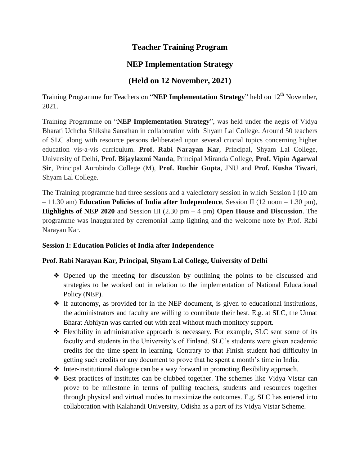## **Teacher Training Program**

# **NEP Implementation Strategy**

### **(Held on 12 November, 2021)**

Training Programme for Teachers on "NEP Implementation Strategy" held on 12<sup>th</sup> November, 2021.

Training Programme on "**NEP Implementation Strategy**", was held under the aegis of Vidya Bharati Uchcha Shiksha Sansthan in collaboration with Shyam Lal College. Around 50 teachers of SLC along with resource persons deliberated upon several crucial topics concerning higher education vis-a-vis curriculum. **Prof. Rabi Narayan Kar**, Principal, Shyam Lal College, University of Delhi, **Prof. Bijaylaxmi Nanda**, Principal Miranda College, **Prof. Vipin Agarwal Sir**, Principal Aurobindo College (M), **Prof. Ruchir Gupta**, JNU and **Prof. Kusha Tiwari**, Shyam Lal College.

The Training programme had three sessions and a valedictory session in which Session I (10 am – 11.30 am) **Education Policies of India after Independence**, Session II (12 noon – 1.30 pm), **Highlights of NEP 2020** and Session III (2.30 pm – 4 pm) **Open House and Discussion**. The programme was inaugurated by ceremonial lamp lighting and the welcome note by Prof. Rabi Narayan Kar.

#### **Session I: Education Policies of India after Independence**

#### **Prof. Rabi Narayan Kar, Principal, Shyam Lal College, University of Delhi**

- ❖ Opened up the meeting for discussion by outlining the points to be discussed and strategies to be worked out in relation to the implementation of National Educational Policy (NEP).
- ❖ If autonomy, as provided for in the NEP document, is given to educational institutions, the administrators and faculty are willing to contribute their best. E.g. at SLC, the Unnat Bharat Abhiyan was carried out with zeal without much monitory support.
- ❖ Flexibility in administrative approach is necessary. For example, SLC sent some of its faculty and students in the University's of Finland. SLC's students were given academic credits for the time spent in learning. Contrary to that Finish student had difficulty in getting such credits or any document to prove that he spent a month's time in India.
- ❖ Inter-institutional dialogue can be a way forward in promoting flexibility approach.
- ❖ Best practices of institutes can be clubbed together. The schemes like Vidya Vistar can prove to be milestone in terms of pulling teachers, students and resources together through physical and virtual modes to maximize the outcomes. E.g. SLC has entered into collaboration with Kalahandi University, Odisha as a part of its Vidya Vistar Scheme.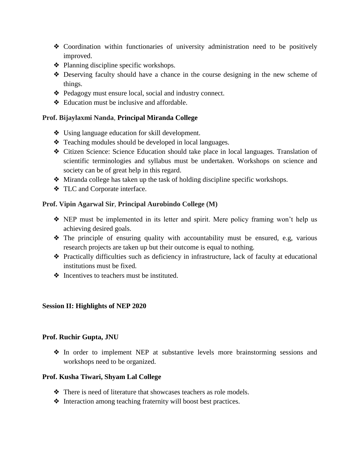- ❖ Coordination within functionaries of university administration need to be positively improved.
- ❖ Planning discipline specific workshops.
- ❖ Deserving faculty should have a chance in the course designing in the new scheme of things.
- ❖ Pedagogy must ensure local, social and industry connect.
- ❖ Education must be inclusive and affordable.

#### **Prof. Bijaylaxmi Nanda**, **Principal Miranda College**

- ❖ Using language education for skill development.
- ❖ Teaching modules should be developed in local languages.
- ❖ Citizen Science: Science Education should take place in local languages. Translation of scientific terminologies and syllabus must be undertaken. Workshops on science and society can be of great help in this regard.
- ❖ Miranda college has taken up the task of holding discipline specific workshops.
- ❖ TLC and Corporate interface.

#### **Prof. Vipin Agarwal Sir**, **Principal Aurobindo College (M)**

- ❖ NEP must be implemented in its letter and spirit. Mere policy framing won't help us achieving desired goals.
- ❖ The principle of ensuring quality with accountability must be ensured, e.g, various research projects are taken up but their outcome is equal to nothing.
- ❖ Practically difficulties such as deficiency in infrastructure, lack of faculty at educational institutions must be fixed.
- ❖ Incentives to teachers must be instituted.

#### **Session II: Highlights of NEP 2020**

#### **Prof. Ruchir Gupta, JNU**

❖ In order to implement NEP at substantive levels more brainstorming sessions and workshops need to be organized.

#### **Prof. Kusha Tiwari, Shyam Lal College**

- ❖ There is need of literature that showcases teachers as role models.
- ❖ Interaction among teaching fraternity will boost best practices.